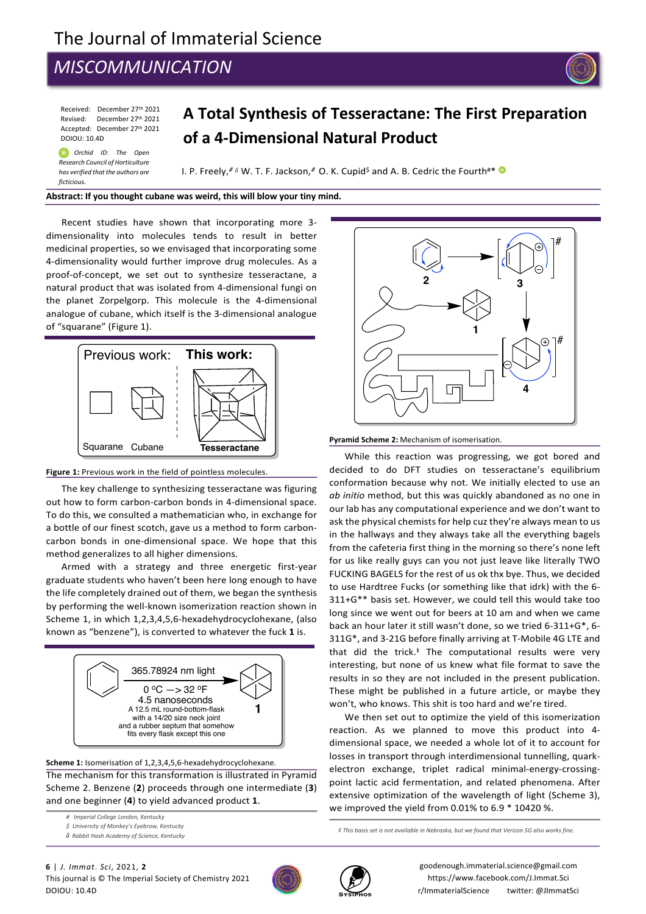# The Journal of Immaterial Science

# *MISCOMMUNICATION*

Received: December 27th 2021 Revised: December 27th 2021 Accepted: December 27th 2021 DOIOU: 10.4D

*Orchid ID: The Open*  ❀ *Research Council of Horticulture has verified that the authors are*

*ficticious.* 

# **A Total Synthesis of Tesseractane: The First Preparation of a 4-Dimensional Natural Product**

I. P. Freely,<sup># &</sup> W. T. F. Jackson,<sup>#</sup> O. K. Cupid<sup>\$</sup> and A. B. Cedric the Fourth#\* <sup>@</sup>

#### **Abstract: If you thought cubane was weird, this will blow your tiny mind.**

Recent studies have shown that incorporating more 3 dimensionality into molecules tends to result in better medicinal properties, so we envisaged that incorporating some 4-dimensionality would further improve drug molecules. As a proof-of-concept, we set out to synthesize tesseractane, a natural product that was isolated from 4-dimensional fungi on the planet Zorpelgorp. This molecule is the 4-dimensional analogue of cubane, which itself is the 3-dimensional analogue of "squarane" (Figure 1).<br>
Scheme 1: Work in this Field in this Field in this Field





The key challenge to synthesizing tesseractane was figuring out how to form carbon-carbon bonds in 4-dimensional space. To do this, we consulted a mathematician who, in exchange for a bottle of our finest scotch, gave us a method to form carboncarbon bonds in one-dimensional space. We hope that this method generalizes to all higher dimensions.

Armed with a strategy and three energetic first-year graduate students who haven't been here long enough to have the life completely drained out of them, we began the synthesis by performing the well-known isomerization reaction shown in Scheme 1, in which 1,2,3,4,5,6-hexadehydrocyclohexane, (also known as "benzene"), is converted to whatever the fuck **1** is.



**Scheme 1:** Isomerisation of 1,2,3,4,5,6-hexadehydrocyclohexane. The mechanism for this transformation is illustrated in Pyramid Scheme 2. Benzene (**2**) proceeds through one intermediate (**3**) and one beginner (**4**) to yield advanced product **1**.

*# Imperial College London, Kentucky*

*\$ University of Monkey's Eyebrow, Kentucky* 







While this reaction was progressing, we got bored and decided to do DFT studies on tesseractane's equilibrium conformation because why not. We initially elected to use an *ab initio* method, but this was quickly abandoned as no one in our lab has any computational experience and we don't want to ask the physical chemists for help cuz they're always mean to us in the hallways and they always take all the everything bagels from the cafeteria first thing in the morning so there's none left for us like really guys can you not just leave like literally TWO FUCKING BAGELS for the rest of us ok thx bye. Thus, we decided to use Hardtree Fucks (or something like that idrk) with the 6- 311+G\*\* basis set. However, we could tell this would take too long since we went out for beers at 10 am and when we came back an hour later it still wasn't done, so we tried 6-311+G\*, 6- 311G\*, and 3-21G before finally arriving at T-Mobile 4G LTE and that did the trick. ‡ The computational results were very interesting, but none of us knew what file format to save the results in so they are not included in the present publication. These might be published in a future article, or maybe they won't, who knows. This shit is too hard and we're tired.

We then set out to optimize the yield of this isomerization reaction. As we planned to move this product into 4 dimensional space, we needed a whole lot of it to account for losses in transport through interdimensional tunnelling, quarkelectron exchange, triplet radical minimal-energy-crossingpoint lactic acid fermentation, and related phenomena. After extensive optimization of the wavelength of light (Scheme 3), we improved the yield from 0.01% to 6.9 \* 10420 %.

*‡ This basis set is not available in Nebraska, but we found that Verizon 5G also works fine.*





goodenough.immaterial.science@gmail.com https://www.facebook.com/J.Immat.Sci r/ImmaterialScience twitter: @JImmatSci